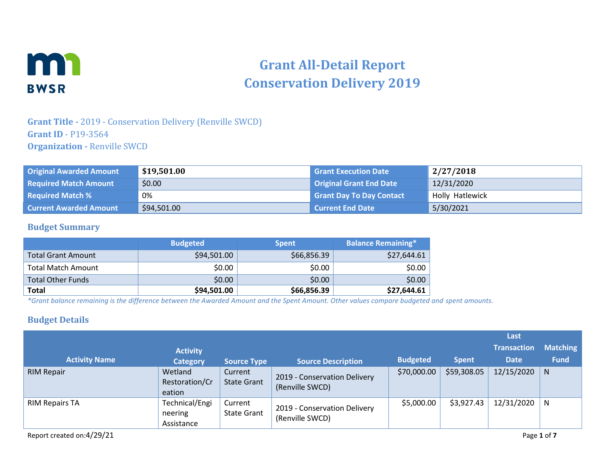

# **Grant All-Detail Report Conservation Delivery 2019**

## **Grant Title -** 2019 - Conservation Delivery (Renville SWCD) **Grant ID** - P19-3564 **Organization -** Renville SWCD

| <b>Original Awarded Amount</b> | \$19,501.00 | <b>Grant Execution Date</b>     | 2/27/2018       |
|--------------------------------|-------------|---------------------------------|-----------------|
| <b>Required Match Amount</b>   | \$0.00      | <b>Original Grant End Date</b>  | 12/31/2020      |
| <b>Required Match %</b>        | 0%          | <b>Grant Day To Day Contact</b> | Holly Hatlewick |
| <b>Current Awarded Amount</b>  | \$94,501.00 | Current End Date                | 5/30/2021       |

#### **Budget Summary**

|                           | <b>Budgeted</b> | <b>Spent</b> | <b>Balance Remaining*</b> |
|---------------------------|-----------------|--------------|---------------------------|
| <b>Total Grant Amount</b> | \$94,501.00     | \$66,856.39  | \$27,644.61               |
| <b>Total Match Amount</b> | \$0.00          | \$0.00       | \$0.00                    |
| <b>Total Other Funds</b>  | \$0.00          | \$0.00       | \$0.00                    |
| <b>Total</b>              | \$94,501.00     | \$66,856.39  | \$27,644.61               |

*\*Grant balance remaining is the difference between the Awarded Amount and the Spent Amount. Other values compare budgeted and spent amounts.*

#### **Budget Details**

|                       |                                         |                               |                                                 |                 |              | Last               |                 |
|-----------------------|-----------------------------------------|-------------------------------|-------------------------------------------------|-----------------|--------------|--------------------|-----------------|
|                       | <b>Activity</b>                         |                               |                                                 |                 |              | <b>Transaction</b> | <b>Matching</b> |
| <b>Activity Name</b>  | <b>Category</b>                         | <b>Source Type</b>            | <b>Source Description</b>                       | <b>Budgeted</b> | <b>Spent</b> | <b>Date</b>        | <b>Fund</b>     |
| <b>RIM Repair</b>     | Wetland<br>Restoration/Cr<br>eation     | Current<br><b>State Grant</b> | 2019 - Conservation Delivery<br>(Renville SWCD) | \$70,000.00     | \$59,308.05  | 12/15/2020         | N               |
| <b>RIM Repairs TA</b> | Technical/Engi<br>neering<br>Assistance | Current<br><b>State Grant</b> | 2019 - Conservation Delivery<br>(Renville SWCD) | \$5,000.00      | \$3,927.43   | 12/31/2020         | N               |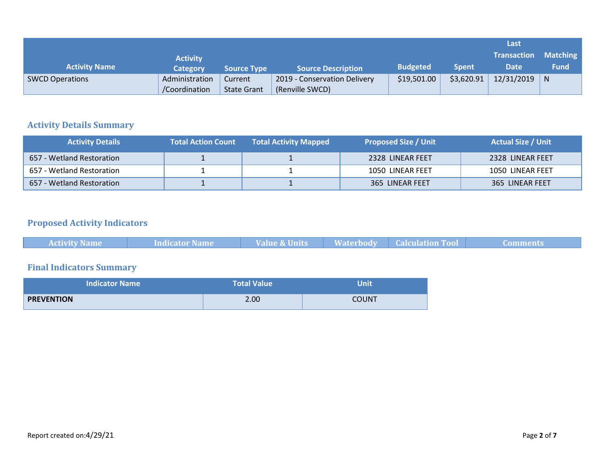|                        |                 |                    |                              |                 |              | Last               |                 |
|------------------------|-----------------|--------------------|------------------------------|-----------------|--------------|--------------------|-----------------|
|                        | <b>Activity</b> |                    |                              |                 |              | <b>Transaction</b> | <b>Matching</b> |
| <b>Activity Name</b>   | <b>Category</b> | <b>Source Type</b> | <b>Source Description</b>    | <b>Budgeted</b> | <b>Spent</b> | <b>Date</b>        | <b>Fund</b>     |
| <b>SWCD Operations</b> | Administration  | Current            | 2019 - Conservation Delivery | \$19,501.00     | \$3,620.91   | 12/31/2019         | N               |
|                        | /Coordination   | <b>State Grant</b> | (Renville SWCD)              |                 |              |                    |                 |

## **Activity Details Summary**

| <b>Activity Details</b>   | <b>Total Action Count</b> | <b>Total Activity Mapped</b> | <b>Proposed Size / Unit</b> | <b>Actual Size / Unit</b> |
|---------------------------|---------------------------|------------------------------|-----------------------------|---------------------------|
| 657 - Wetland Restoration |                           |                              | 2328 LINEAR FEET            | 2328 LINEAR FEET          |
| 657 - Wetland Restoration |                           |                              | 1050 LINEAR FEET            | 1050 LINEAR FEET          |
| 657 - Wetland Restoration |                           |                              | 365 LINEAR FEET             | 365 LINEAR FEET           |

# **Proposed Activity Indicators**

| <b>Activity Name</b> | <b>Indicator Name</b> | <b>Value &amp; Units</b> |  | <b>Comments</b> |
|----------------------|-----------------------|--------------------------|--|-----------------|
|                      |                       |                          |  |                 |

# **Final Indicators Summary**

| <b>Indicator Name</b> | <b>Total Value</b> | <b>Unit</b> |
|-----------------------|--------------------|-------------|
| <b>PREVENTION</b>     | 2.00               | COUNT       |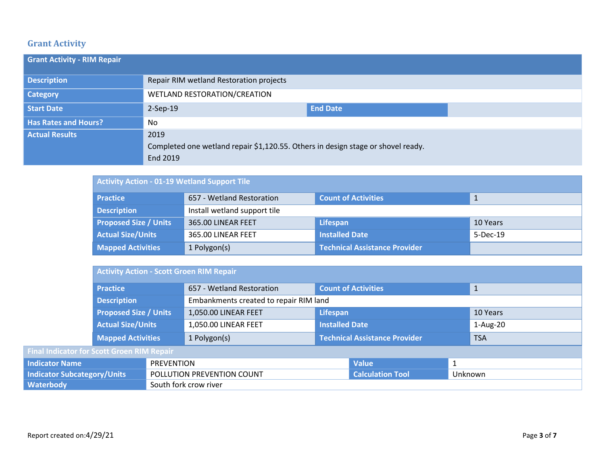## **Grant Activity**

| <b>Grant Activity - RIM Repair</b> |                                                                                  |                 |  |
|------------------------------------|----------------------------------------------------------------------------------|-----------------|--|
| <b>Description</b>                 | Repair RIM wetland Restoration projects                                          |                 |  |
| <b>Category</b>                    | WETLAND RESTORATION/CREATION                                                     |                 |  |
| Start Date                         | $2-Sep-19$                                                                       | <b>End Date</b> |  |
| <b>Has Rates and Hours?</b>        | No                                                                               |                 |  |
| <b>Actual Results</b>              | 2019                                                                             |                 |  |
|                                    | Completed one wetland repair \$1,120.55. Others in design stage or shovel ready. |                 |  |
|                                    | End 2019                                                                         |                 |  |

| <b>Activity Action - 01-19 Wetland Support Tile</b> |                                                                         |                                      |            |  |
|-----------------------------------------------------|-------------------------------------------------------------------------|--------------------------------------|------------|--|
| <b>Practice</b>                                     | <b>Count of Activities</b><br>657 - Wetland Restoration<br>$\mathbf{1}$ |                                      |            |  |
| <b>Description</b>                                  | Install wetland support tile                                            |                                      |            |  |
| <b>Proposed Size / Units</b>                        | 365.00 LINEAR FEET                                                      | Lifespan                             | 10 Years   |  |
| <b>Actual Size/Units</b>                            | 365.00 LINEAR FEET                                                      | <b>Installed Date</b>                | $5-Dec-19$ |  |
| <b>Mapped Activities</b>                            | 1 Polygon(s)                                                            | <b>Technical Assistance Provider</b> |            |  |

|                                                   | <b>Activity Action - Scott Groen RIM Repair</b> |                            |                                        |                                      |                            |          |              |
|---------------------------------------------------|-------------------------------------------------|----------------------------|----------------------------------------|--------------------------------------|----------------------------|----------|--------------|
|                                                   | <b>Practice</b>                                 |                            | 657 - Wetland Restoration              |                                      | <b>Count of Activities</b> |          | $\mathbf{1}$ |
|                                                   | <b>Description</b>                              |                            | Embankments created to repair RIM land |                                      |                            |          |              |
|                                                   | <b>Proposed Size / Units</b>                    |                            | 1,050.00 LINEAR FEET                   | Lifespan                             |                            | 10 Years |              |
|                                                   | <b>Actual Size/Units</b>                        |                            | 1,050.00 LINEAR FEET                   | <b>Installed Date</b>                |                            |          | $1-Aug-20$   |
|                                                   | <b>Mapped Activities</b>                        |                            | 1 Polygon(s)                           | <b>Technical Assistance Provider</b> |                            |          | <b>TSA</b>   |
| <b>Final Indicator for Scott Groen RIM Repair</b> |                                                 |                            |                                        |                                      |                            |          |              |
| <b>Indicator Name</b><br><b>PREVENTION</b>        |                                                 |                            |                                        | <b>Value</b>                         |                            |          |              |
| <b>Indicator Subcategory/Units</b>                |                                                 | POLLUTION PREVENTION COUNT |                                        | <b>Calculation Tool</b>              | Unknown                    |          |              |
| Waterbody                                         | South fork crow river                           |                            |                                        |                                      |                            |          |              |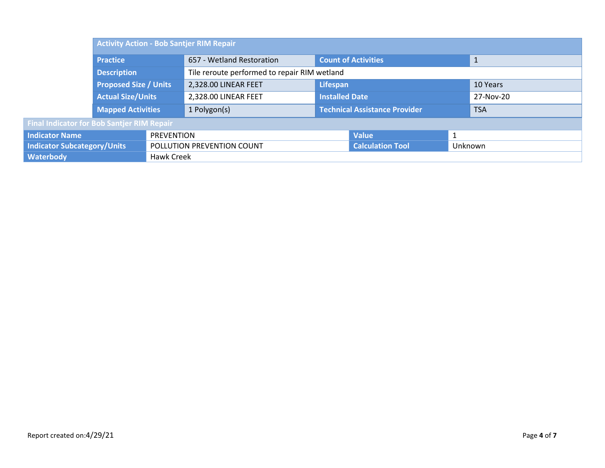|                                                   | <b>Activity Action - Bob Santjer RIM Repair</b> |                            |                           |                                              |                            |           |              |  |
|---------------------------------------------------|-------------------------------------------------|----------------------------|---------------------------|----------------------------------------------|----------------------------|-----------|--------------|--|
|                                                   | <b>Practice</b>                                 |                            | 657 - Wetland Restoration |                                              | <b>Count of Activities</b> |           | $\mathbf{1}$ |  |
|                                                   | Description                                     |                            |                           | Tile reroute performed to repair RIM wetland |                            |           |              |  |
|                                                   | <b>Proposed Size / Units</b>                    |                            | 2,328.00 LINEAR FEET      | Lifespan                                     |                            | 10 Years  |              |  |
|                                                   | <b>Actual Size/Units</b>                        |                            | 2,328.00 LINEAR FEET      | <b>Installed Date</b>                        |                            | 27-Nov-20 |              |  |
|                                                   | <b>Mapped Activities</b>                        |                            | 1 Polygon(s)              | <b>Technical Assistance Provider</b>         |                            |           | <b>TSA</b>   |  |
| <b>Final Indicator for Bob Santjer RIM Repair</b> |                                                 |                            |                           |                                              |                            |           |              |  |
| <b>Indicator Name</b>                             | <b>PREVENTION</b>                               |                            |                           |                                              | <b>Value</b>               |           |              |  |
| <b>Indicator Subcategory/Units</b>                |                                                 | POLLUTION PREVENTION COUNT |                           | <b>Calculation Tool</b>                      | Unknown                    |           |              |  |
| <b>Waterbody</b>                                  | Hawk Creek                                      |                            |                           |                                              |                            |           |              |  |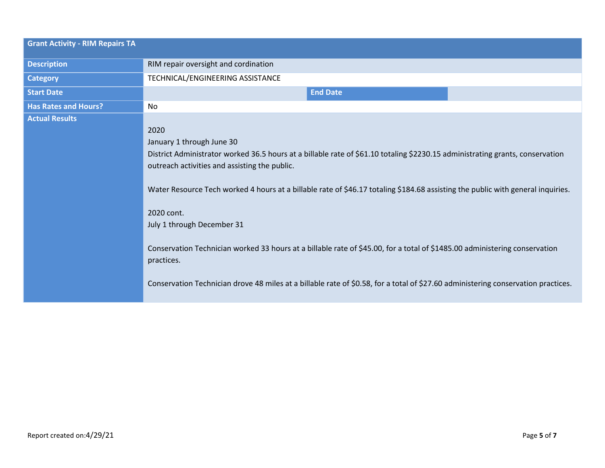| <b>Grant Activity - RIM Repairs TA</b> |                                                                                                                                                                                                                                                                                                                                                                                                                                                                                                                                                                                                                                                                                     |
|----------------------------------------|-------------------------------------------------------------------------------------------------------------------------------------------------------------------------------------------------------------------------------------------------------------------------------------------------------------------------------------------------------------------------------------------------------------------------------------------------------------------------------------------------------------------------------------------------------------------------------------------------------------------------------------------------------------------------------------|
| <b>Description</b>                     | RIM repair oversight and cordination                                                                                                                                                                                                                                                                                                                                                                                                                                                                                                                                                                                                                                                |
| <b>Category</b>                        | TECHNICAL/ENGINEERING ASSISTANCE                                                                                                                                                                                                                                                                                                                                                                                                                                                                                                                                                                                                                                                    |
| <b>Start Date</b>                      | <b>End Date</b>                                                                                                                                                                                                                                                                                                                                                                                                                                                                                                                                                                                                                                                                     |
| <b>Has Rates and Hours?</b>            | No                                                                                                                                                                                                                                                                                                                                                                                                                                                                                                                                                                                                                                                                                  |
| <b>Actual Results</b>                  | 2020<br>January 1 through June 30<br>District Administrator worked 36.5 hours at a billable rate of \$61.10 totaling \$2230.15 administrating grants, conservation<br>outreach activities and assisting the public.<br>Water Resource Tech worked 4 hours at a billable rate of \$46.17 totaling \$184.68 assisting the public with general inquiries.<br>2020 cont.<br>July 1 through December 31<br>Conservation Technician worked 33 hours at a billable rate of \$45.00, for a total of \$1485.00 administering conservation<br>practices.<br>Conservation Technician drove 48 miles at a billable rate of \$0.58, for a total of \$27.60 administering conservation practices. |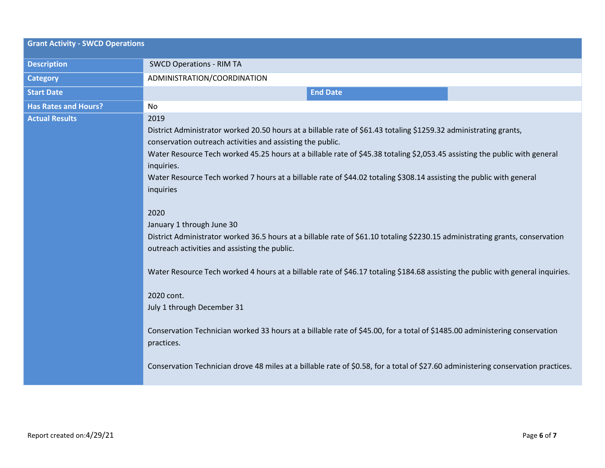| <b>Grant Activity - SWCD Operations</b> |                                                                                                                                                                                                                                                                                                                                                                                                                                                                                                                                                                                                                                                                                                                                                                                                                                                                                                                                                                                                                                                                                                                                                                 |  |  |
|-----------------------------------------|-----------------------------------------------------------------------------------------------------------------------------------------------------------------------------------------------------------------------------------------------------------------------------------------------------------------------------------------------------------------------------------------------------------------------------------------------------------------------------------------------------------------------------------------------------------------------------------------------------------------------------------------------------------------------------------------------------------------------------------------------------------------------------------------------------------------------------------------------------------------------------------------------------------------------------------------------------------------------------------------------------------------------------------------------------------------------------------------------------------------------------------------------------------------|--|--|
| <b>Description</b>                      | <b>SWCD Operations - RIM TA</b>                                                                                                                                                                                                                                                                                                                                                                                                                                                                                                                                                                                                                                                                                                                                                                                                                                                                                                                                                                                                                                                                                                                                 |  |  |
| <b>Category</b>                         | ADMINISTRATION/COORDINATION                                                                                                                                                                                                                                                                                                                                                                                                                                                                                                                                                                                                                                                                                                                                                                                                                                                                                                                                                                                                                                                                                                                                     |  |  |
| <b>Start Date</b>                       | <b>End Date</b>                                                                                                                                                                                                                                                                                                                                                                                                                                                                                                                                                                                                                                                                                                                                                                                                                                                                                                                                                                                                                                                                                                                                                 |  |  |
| <b>Has Rates and Hours?</b>             | <b>No</b>                                                                                                                                                                                                                                                                                                                                                                                                                                                                                                                                                                                                                                                                                                                                                                                                                                                                                                                                                                                                                                                                                                                                                       |  |  |
| <b>Actual Results</b>                   | 2019<br>District Administrator worked 20.50 hours at a billable rate of \$61.43 totaling \$1259.32 administrating grants,<br>conservation outreach activities and assisting the public.<br>Water Resource Tech worked 45.25 hours at a billable rate of \$45.38 totaling \$2,053.45 assisting the public with general<br>inquiries.<br>Water Resource Tech worked 7 hours at a billable rate of \$44.02 totaling \$308.14 assisting the public with general<br>inquiries<br>2020<br>January 1 through June 30<br>District Administrator worked 36.5 hours at a billable rate of \$61.10 totaling \$2230.15 administrating grants, conservation<br>outreach activities and assisting the public.<br>Water Resource Tech worked 4 hours at a billable rate of \$46.17 totaling \$184.68 assisting the public with general inquiries.<br>2020 cont.<br>July 1 through December 31<br>Conservation Technician worked 33 hours at a billable rate of \$45.00, for a total of \$1485.00 administering conservation<br>practices.<br>Conservation Technician drove 48 miles at a billable rate of \$0.58, for a total of \$27.60 administering conservation practices. |  |  |